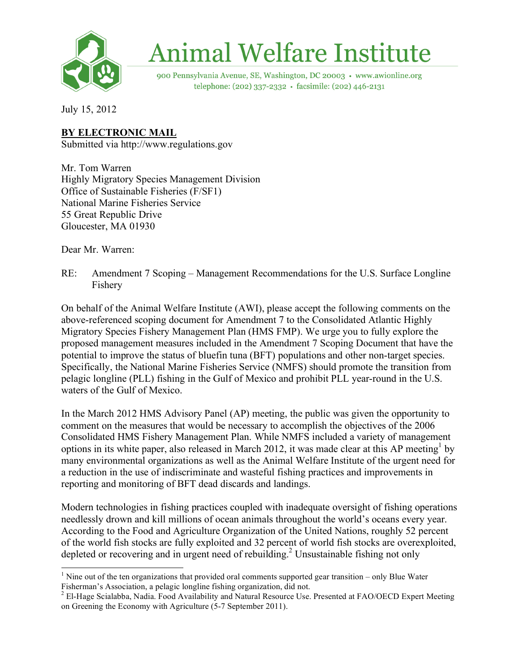

## **Animal Welfare Institute**

900 Pennsylvania Avenue, SE, Washington, DC 20003 · www.awionline.org telephone: (202) 337-2332 · facsimile: (202) 446-2131

July 15, 2012

## **BY ELECTRONIC MAIL**

Submitted via http://www.regulations.gov

Mr. Tom Warren Highly Migratory Species Management Division Office of Sustainable Fisheries (F/SF1) National Marine Fisheries Service 55 Great Republic Drive Gloucester, MA 01930

Dear Mr. Warren:

RE: Amendment 7 Scoping – Management Recommendations for the U.S. Surface Longline Fishery

On behalf of the Animal Welfare Institute (AWI), please accept the following comments on the above-referenced scoping document for Amendment 7 to the Consolidated Atlantic Highly Migratory Species Fishery Management Plan (HMS FMP). We urge you to fully explore the proposed management measures included in the Amendment 7 Scoping Document that have the potential to improve the status of bluefin tuna (BFT) populations and other non-target species. Specifically, the National Marine Fisheries Service (NMFS) should promote the transition from pelagic longline (PLL) fishing in the Gulf of Mexico and prohibit PLL year-round in the U.S. waters of the Gulf of Mexico.

In the March 2012 HMS Advisory Panel (AP) meeting, the public was given the opportunity to comment on the measures that would be necessary to accomplish the objectives of the 2006 Consolidated HMS Fishery Management Plan. While NMFS included a variety of management options in its white paper, also released in March 2012, it was made clear at this AP meeting<sup>1</sup> by many environmental organizations as well as the Animal Welfare Institute of the urgent need for a reduction in the use of indiscriminate and wasteful fishing practices and improvements in reporting and monitoring of BFT dead discards and landings.

Modern technologies in fishing practices coupled with inadequate oversight of fishing operations needlessly drown and kill millions of ocean animals throughout the world's oceans every year. According to the Food and Agriculture Organization of the United Nations, roughly 52 percent of the world fish stocks are fully exploited and 32 percent of world fish stocks are overexploited, depleted or recovering and in urgent need of rebuilding.<sup>2</sup> Unsustainable fishing not only

 $\frac{1}{1}$ <sup>1</sup> Nine out of the ten organizations that provided oral comments supported gear transition – only Blue Water Fisherman's Association, a pelagic longline fishing organization, did not.

<sup>&</sup>lt;sup>2</sup> El-Hage Scialabba, Nadia. Food Availability and Natural Resource Use. Presented at FAO/OECD Expert Meeting on Greening the Economy with Agriculture (5-7 September 2011).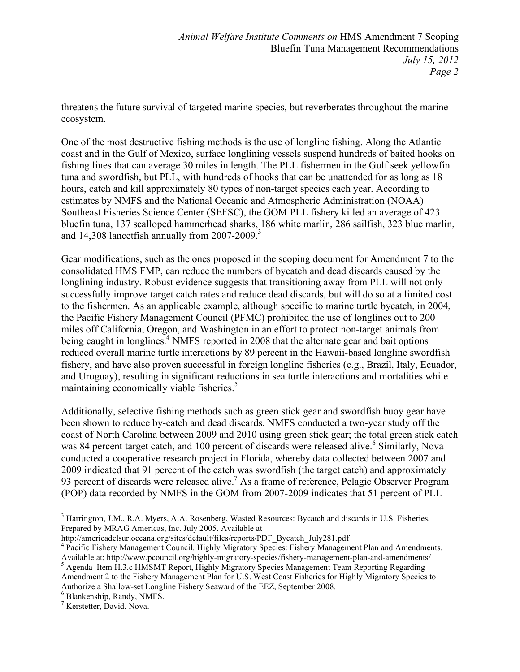threatens the future survival of targeted marine species, but reverberates throughout the marine ecosystem.

One of the most destructive fishing methods is the use of longline fishing. Along the Atlantic coast and in the Gulf of Mexico, surface longlining vessels suspend hundreds of baited hooks on fishing lines that can average 30 miles in length. The PLL fishermen in the Gulf seek yellowfin tuna and swordfish, but PLL, with hundreds of hooks that can be unattended for as long as 18 hours, catch and kill approximately 80 types of non-target species each year. According to estimates by NMFS and the National Oceanic and Atmospheric Administration (NOAA) Southeast Fisheries Science Center (SEFSC), the GOM PLL fishery killed an average of 423 bluefin tuna, 137 scalloped hammerhead sharks, 186 white marlin, 286 sailfish, 323 blue marlin, and 14,308 lancetfish annually from  $2007-2009$ <sup>3</sup>

Gear modifications, such as the ones proposed in the scoping document for Amendment 7 to the consolidated HMS FMP, can reduce the numbers of bycatch and dead discards caused by the longlining industry. Robust evidence suggests that transitioning away from PLL will not only successfully improve target catch rates and reduce dead discards, but will do so at a limited cost to the fishermen. As an applicable example, although specific to marine turtle bycatch, in 2004, the Pacific Fishery Management Council (PFMC) prohibited the use of longlines out to 200 miles off California, Oregon, and Washington in an effort to protect non-target animals from being caught in longlines.<sup>4</sup> NMFS reported in 2008 that the alternate gear and bait options reduced overall marine turtle interactions by 89 percent in the Hawaii-based longline swordfish fishery, and have also proven successful in foreign longline fisheries (e.g., Brazil, Italy, Ecuador, and Uruguay), resulting in significant reductions in sea turtle interactions and mortalities while maintaining economically viable fisheries.<sup>5</sup>

Additionally, selective fishing methods such as green stick gear and swordfish buoy gear have been shown to reduce by-catch and dead discards. NMFS conducted a two-year study off the coast of North Carolina between 2009 and 2010 using green stick gear; the total green stick catch was 84 percent target catch, and 100 percent of discards were released alive.<sup>6</sup> Similarly, Nova conducted a cooperative research project in Florida, whereby data collected between 2007 and 2009 indicated that 91 percent of the catch was swordfish (the target catch) and approximately 93 percent of discards were released alive.<sup>7</sup> As a frame of reference, Pelagic Observer Program (POP) data recorded by NMFS in the GOM from 2007-2009 indicates that 51 percent of PLL

 <sup>3</sup> <sup>3</sup> Harrington, J.M., R.A. Myers, A.A. Rosenberg, Wasted Resources: Bycatch and discards in U.S. Fisheries, Prepared by MRAG Americas, Inc. July 2005. Available at

http://americadelsur.oceana.org/sites/default/files/reports/PDF\_Bycatch\_July281.pdf

<sup>&</sup>lt;sup>4</sup> Pacific Fishery Management Council. Highly Migratory Species: Fishery Management Plan and Amendments. Available at; http://www.pcouncil.org/highly-migratory-species/fishery-management-plan-and-amendments/ <sup>5</sup>

<sup>&</sup>lt;sup>5</sup> Agenda Item H.3.c HMSMT Report, Highly Migratory Species Management Team Reporting Regarding Amendment 2 to the Fishery Management Plan for U.S. West Coast Fisheries for Highly Migratory Species to Authorize a Shallow-set Longline Fishery Seaward of the EEZ, September 2008. <sup>6</sup>

Blankenship, Randy, NMFS.

<sup>&</sup>lt;sup>7</sup> Kerstetter, David, Nova.